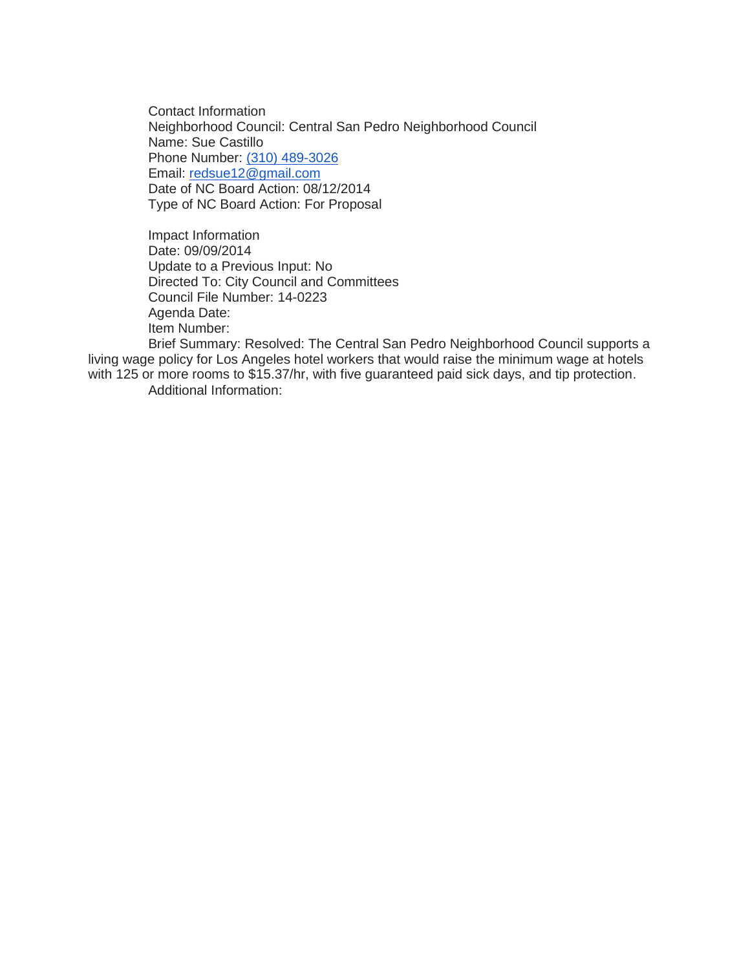Contact Information Neighborhood Council: Central San Pedro Neighborhood Council Name: Sue Castillo Phone Number: [\(310\) 489-3026](tel:%28310%29%20489-3026) Email: [redsue12@gmail.com](mailto:redsue12@gmail.com) Date of NC Board Action: 08/12/2014 Type of NC Board Action: For Proposal

Impact Information Date: 09/09/2014 Update to a Previous Input: No Directed To: City Council and Committees Council File Number: 14-0223 Agenda Date: Item Number:

Brief Summary: Resolved: The Central San Pedro Neighborhood Council supports a living wage policy for Los Angeles hotel workers that would raise the minimum wage at hotels with 125 or more rooms to \$15.37/hr, with five guaranteed paid sick days, and tip protection. Additional Information: